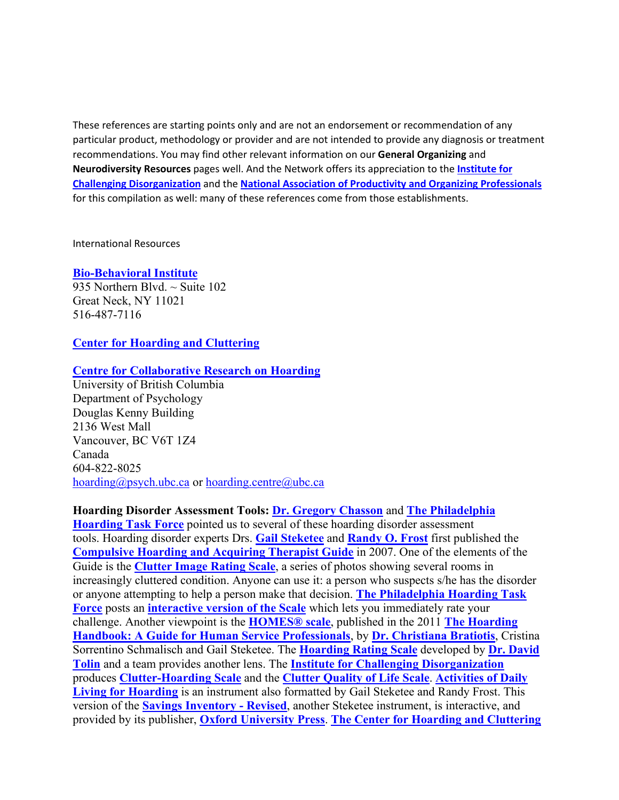These references are starting points only and are not an endorsement or recommendation of any particular product, methodology or provider and are not intended to provide any diagnosis or treatment recommendations. You may find other relevant information on our **General Organizing** and **Neurodiversity Resources** pages well. And the Network offers its appreciation to the **[Institute for](https://www.challengingdisorganization.org/)  [Challenging Disorganization](https://www.challengingdisorganization.org/)** and the **[National Association of Productivity and Organizing Professionals](https://www.napo.net/)** for this compilation as well: many of these references come from those establishments.

International Resources

### **[Bio-Behavioral Institute](https://biobehavioralinstitute.com/)**

935 Northern Blvd.  $\sim$  Suite 102 Great Neck, NY 11021 516-487-7116

### **[Center for Hoarding and Cluttering](https://www.centerforhoardingandcluttering.com/)**

### **[Centre for Collaborative Research on Hoarding](https://hoarding.psych.ubc.ca/)**

University of British Columbia Department of Psychology Douglas Kenny Building 2136 West Mall Vancouver, BC V6T 1Z4 Canada 604-822-8025 [hoarding@psych.ubc.ca](mailto:hoarding@psych.ubc.ca) or [hoarding.centre@ubc.ca](mailto:hoarding.centre@ubc.ca)

#### **Hoarding Disorder Assessment Tools: [Dr. Gregory Chasson](https://www.iit.edu/directory/people/gregory-chasson)** and **[The Philadelphia](http://www.philadelphiahoarding.org/)**

**[Hoarding Task Force](http://www.philadelphiahoarding.org/)** pointed us to several of these hoarding disorder assessment tools. Hoarding disorder experts Drs. **[Gail Steketee](https://www.bu.edu/ssw/profile/gail-steketee/)** and **[Randy O. Frost](https://www.smith.edu/academics/faculty/randy-frost)** first published the **Compulsive Hoarding [and Acquiring Therapist Guide](https://www.amazon.com/Treatment-Hoarding-Disorder-Therapist-Treatments-dp-019933496X/dp/019933496X/ref=dp_ob_title_bk)** in 2007. One of the elements of the Guide is the **[Clutter Image Rating Scale](https://hoarding.iocdf.org/wp-content/uploads/sites/7/2016/12/Clutter-Image-Rating-3-18-16.pdf)**, a series of photos showing several rooms in increasingly cluttered condition. Anyone can use it: a person who suspects s/he has the disorder or anyone attempting to help a person make that decision. **[The Philadelphia Hoarding Task](http://www.philadelphiahoarding.org/)  [Force](http://www.philadelphiahoarding.org/)** posts an **[interactive version of the Scale](http://www.philadelphiahoarding.org/resources/Clutter%20Image%20Rating%20Scale.pdf)** which lets you immediately rate your challenge. Another viewpoint is the **[HOMES® scale](http://www.philadelphiahoarding.org/resources/HOMES%20Multi-disciplinary%20Hoarding%20Risk%20Assessment.pdf)**, published in the 2011 **[The Hoarding](https://www.amazon.com/Hoarding-Handbook-Guide-Service-Professionals/dp/0195385519/ref=sr_1_1?dchild=1&keywords=the+hoarding+handbook&qid=1613060428&sr=8-1)  [Handbook: A Guide for Human Service Professionals](https://www.amazon.com/Hoarding-Handbook-Guide-Service-Professionals/dp/0195385519/ref=sr_1_1?dchild=1&keywords=the+hoarding+handbook&qid=1613060428&sr=8-1)**, by **[Dr. Christiana Bratiotis](https://christianabratiotis.com/)**, Cristina Sorrentino Schmalisch and Gail Steketee. The **[Hoarding Rating Scale](http://www.philadelphiahoarding.org/resources/Hoarding%20Rating%20Scale%20Assessment%20Tool.pdf)** developed by **[Dr. David](https://drtolin.com/)  [Tolin](https://drtolin.com/)** and a team provides another lens. The **[Institute for Challenging Disorganization](https://www.challengingdisorganization.org/)** produces **[Clutter-Hoarding Scale](https://www.challengingdisorganization.org/clutter-hoarding-scale-)** and the **[Clutter Quality of Life Scale](https://www.challengingdisorganization.org/clutter-quality-of-life-scale)**. **[Activities of Daily](http://www.philadelphiahoarding.org/resources/ADL-H.pdf)  [Living for Hoarding](http://www.philadelphiahoarding.org/resources/ADL-H.pdf)** is an instrument also formatted by Gail Steketee and Randy Frost. This version of the **[Savings Inventory -](https://www.oxfordclinicalpsych.com/view/10.1093/med:psych/9780199340965.001.0001/med-9780199340965-interactive-pdf-003.pdf) Revised**, another Steketee instrument, is interactive, and provided by its publisher, **[Oxford University Press](https://global.oup.com/?cc=us)**. **[The Center for Hoarding and Cluttering](https://www.centerforhoardingandcluttering.com/)**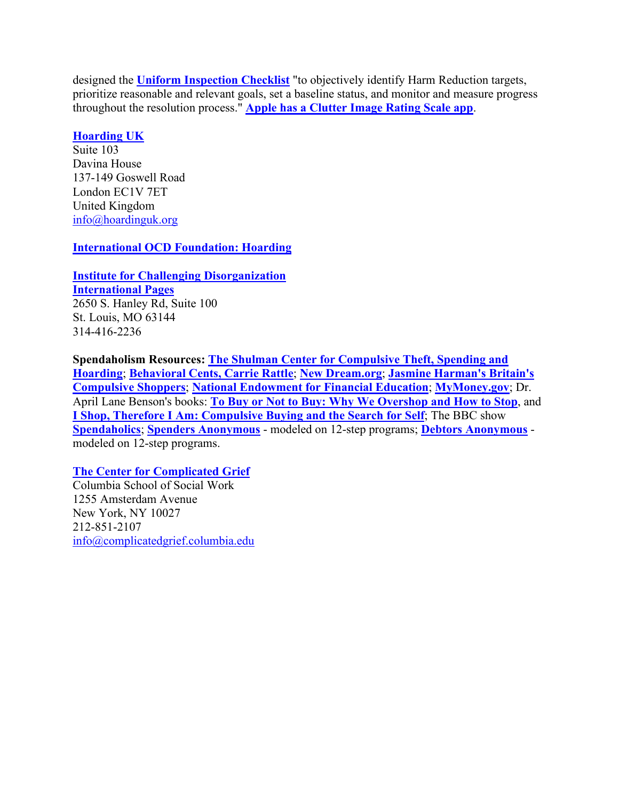designed the **[Uniform Inspection Checklist](https://www.centerforhoardingandcluttering.com/uniform-inspection-checklist-2/)** "to objectively identify Harm Reduction targets, prioritize reasonable and relevant goals, set a baseline status, and monitor and measure progress throughout the resolution process." **[Apple has a Clutter Image Rating Scale app](https://apps.apple.com/us/app/clutter-image-rating/id981642952)**.

## **[Hoarding UK](https://hoardinguk.org/)**

Suite 103 Davina House 137-149 Goswell Road London EC1V 7ET United Kingdom [info@hoardinguk.org](mailto:info@hoardinguk.org)

## **[International OCD Foundation: Hoarding](https://hoarding.iocdf.org/)**

**[Institute for Challenging Disorganization](https://www.challengingdisorganization.org/)**

**[International Pages](https://icdorg.memberclicks.net/international)** 2650 S. Hanley Rd, Suite 100 St. Louis, MO 63144 314-416-2236

**Spendaholism Resources: [The Shulman Center for Compulsive Theft, Spending and](https://theshulmancenter.com/)  [Hoarding](https://theshulmancenter.com/)**; **[Behavioral Cents, Carrie Rattle](https://behavioralcents.com/)**; **[New Dream.org](https://newdream.org/)**; **[Jasmine Harman's Britain's](https://www.youtube.com/watch?v=dLY13TCRxMs)  [Compulsive Shoppers](https://www.youtube.com/watch?v=dLY13TCRxMs)**; **[National Endowment for Financial Education](https://www.nefe.org/)**; **[MyMoney.gov](https://www.mymoney.gov/)**; Dr. April Lane Benson's books: **[To Buy or Not to Buy: Why We Overshop and How to Stop](https://www.amazon.com/gp/product/B00DC6Q32I/ref=dbs_a_def_rwt_bibl_vppi_i0)**, and **[I Shop, Therefore I Am: Compulsive Buying and the Search for Self](https://www.amazon.com/Shop-Therefore-Am-Compulsive-Buying/dp/0765702428/ref=sr_1_6?keywords=april+lane+benson&qid=1638658894&s=books&sr=1-6)**; The BBC show **[Spendaholics](https://www.bbc.co.uk/programmes/b006t793)**; **[Spenders Anonymous](http://www.spenders.org/home.html)** - modeled on 12-step programs; **[Debtors Anonymous](https://debtorsanonymous.org/)** modeled on 12-step programs.

# **[The Center for Complicated Grief](https://complicatedgrief.columbia.edu/for-the-public/complicated-grief-public/overview/)**

Columbia School of Social Work 1255 Amsterdam Avenue New York, NY 10027 212-851-2107 [info@complicatedgrief.columbia.edu](mailto:info@complicatedgrief.columbia.edu)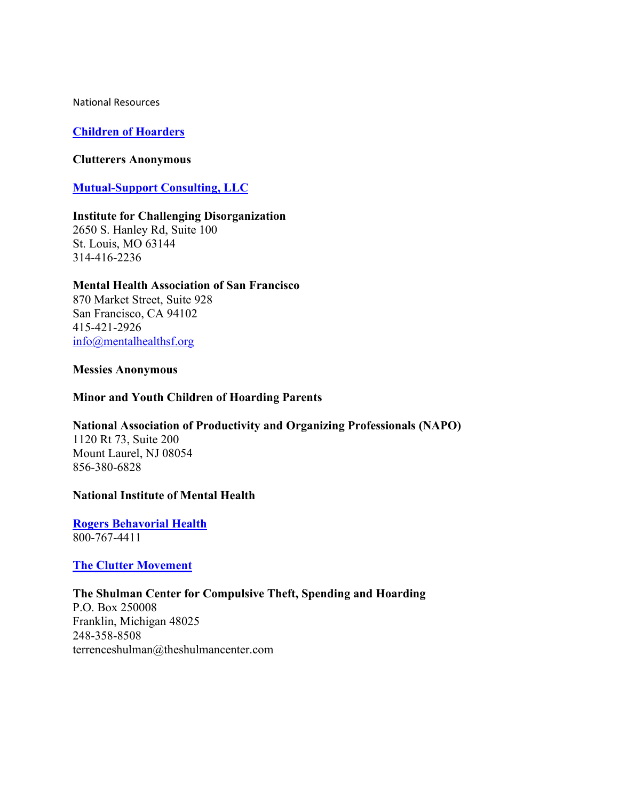National Resources

### **[Children of Hoarders](http://childrenofhoarders.com/wordpress/?page_id=4987)**

#### **[Clutterers Anonymous](https://clutterersanonymous.org/)**

## **[Mutual-Support Consulting, LLC](https://www.mutual-support.com/home)**

#### **[Institute for Challenging Disorganization](https://www.challengingdisorganization.org/)**

2650 S. Hanley Rd, Suite 100 St. Louis, MO 63144 314-416-2236

### **[Mental Health Association of San Francisco](https://www.mentalhealthsf.org/collecting-behaviors-hoarding-disorder/)**

870 Market Street, Suite 928 San Francisco, CA 94102 415-421-2926 [info@mentalhealthsf.org](mailto:info@mha-sf.org)

### **[Messies Anonymous](http://messies.com/#homePage)**

### **[Minor and Youth Children of Hoarding Parents](https://mycohp.groups.io/g/main)**

## **[National Association of Productivity and Organizing Professionals \(NAPO\)](https://www.napo.net/)**

1120 Rt 73, Suite 200 Mount Laurel, NJ 08054 856-380-6828

### **[National Institute of Mental Health](https://www.nimh.nih.gov/index.shtml)**

**[Rogers Behavorial Health](https://rogersbh.org/)** 800-767-4411

### **[The Clutter Movement](http://thecluttermovement.com/)**

**[The Shulman Center for Compulsive Theft, Spending and Hoarding](https://theshulmancenter.com/)** P.O. Box 250008 Franklin, Michigan 48025 248-358-8508 terrenceshulman@theshulmancenter.com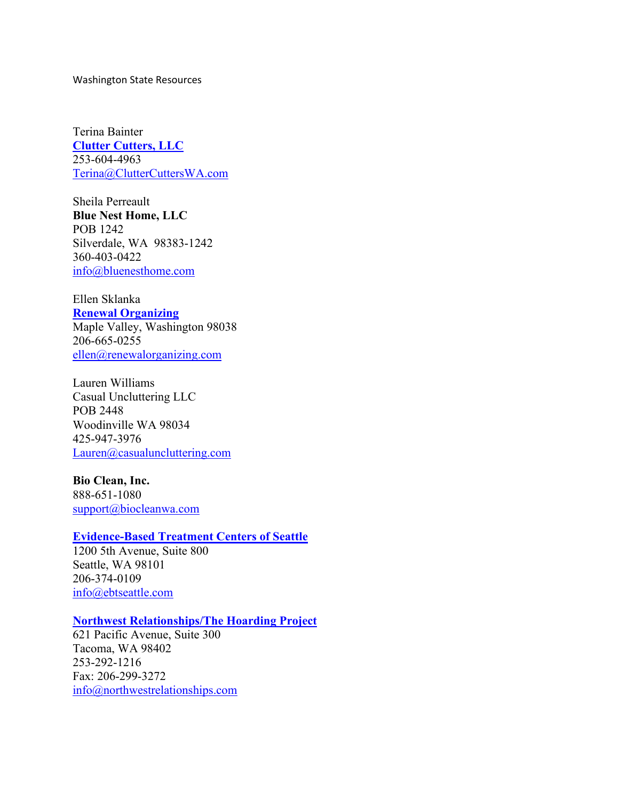Washington State Resources

Terina Bainter **[Clutter Cutters, LLC](https://www.cluttercutterswa.com/)** 253-604-4963 [Terina@ClutterCuttersWA.com](mailto:Terina@ClutterCuttersWA.com)

Sheila Perreault **[Blue Nest Home, LLC](http://bluenesthome.com/)** POB 1242 Silverdale, WA 98383-1242 360-403-0422 [info@bluenesthome.com](mailto:info@bluenesthome.com)

#### Ellen Sklanka **[Renewal Organizing](https://renewalorg.com/)**

Maple Valley, Washington 98038 206-665-0255 [ellen@renewalorganizing.com](mailto:ellen@renewalorganizing.com)

Lauren Williams Casual Uncluttering LLC POB 2448 Woodinville WA 98034 425-947-3976 [Lauren@casualuncluttering.com](mailto:Lauren@casualuncluttering.com)

### **[Bio Clean, Inc.](https://www.biocleanwa.com/)**

888-651-1080 [support@biocleanwa.com](mailto:support@biocleanwa.com)

### **[Evidence-Based Treatment Centers of Seattle](https://ebtseattle.com/)**

1200 5th Avenue, Suite 800 Seattle, WA 98101 206-374-0109 [info@ebtseattle.com](mailto:info@ebtseattle.com)

#### **[Northwest Relationships/The Hoarding Project](http://www.northwestrelationships.com/thp.html)**

621 Pacific Avenue, Suite 300 Tacoma, WA 98402 253-292-1216 Fax: 206-299-3272 [info@northwestrelationships.com](mailto:info@northwestrelationships.com)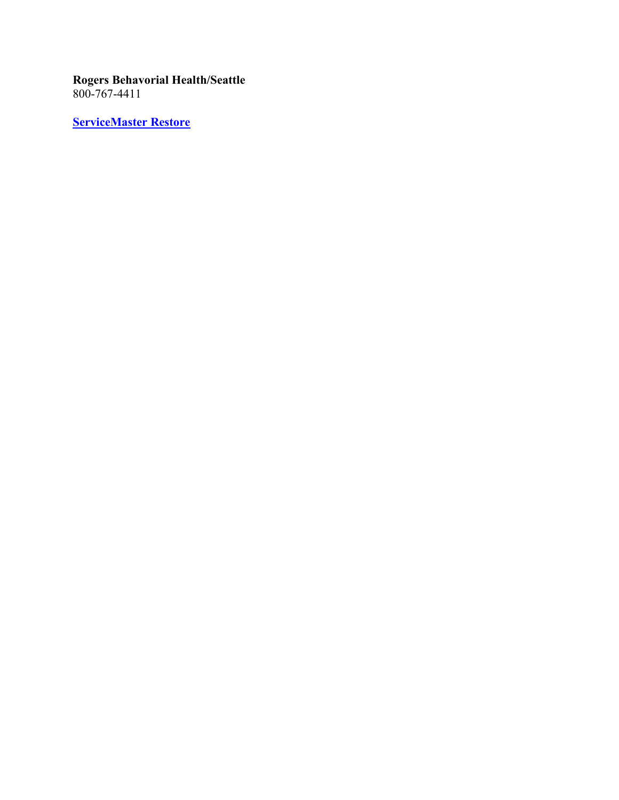## **[Rogers Behavorial Health/Seattle](https://rogersbh.org/locations/seattle-wa)** 800-767-4411

**[ServiceMaster Restore](https://www.servicemasterrestore.com/residential-services/special-services/hoarding-services/)**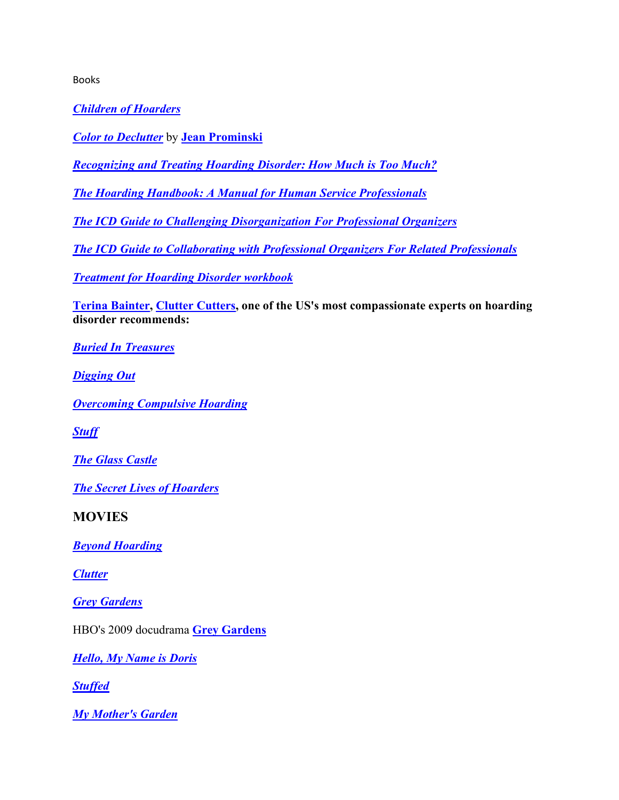Books

*[Children of Hoarders](https://www.amazon.com/Children-Hoarders-Minimize-Conflict-Relationship-ebook/dp/B00ECLGAKW/ref=sr_1_1?crid=3TKHG1XMFO0J4&keywords=children+of+hoarders&qid=1640288593&s=books&sprefix=children+of+hoarders%2Cstripbooks%2C117&sr=1-1)*

*[Color to Declutter](https://jeanprominski.com/products/color-to-declutter-pre-order-available-mid-february-2020)* by **[Jean Prominski](https://seattlesparkle.com/)**

*[Recognizing and Treating Hoarding Disorder: How Much is Too Much?](https://www.amazon.com/Recognizing-Treating-Hoarding-Disorder-Much/dp/0393713571/ref=sr_1_1?crid=32MD72PBI8A2R&keywords=recognizing+and+treating+hoarding&qid=1640288856&s=books&sprefix=recognizing+and+treating+hoarding%2Cstripbooks%2C112&sr=1-1)*

*[The Hoarding Handbook: A Manual for Human Service Professionals](https://www.amazon.com/Hoarding-Handbook-Guide-Service-Professionals/dp/0195385519/ref=sr_1_1?crid=3M5T17EFARRJX&keywords=the+hoarding+handbook&qid=1640288892&s=books&sprefix=the+hoarding+handbook%2Cstripbooks%2C119&sr=1-1)*

*[The ICD Guide to Challenging Disorganization For](https://www.amazon.com/ICD-Guide-Challenging-Disorganization-Professional/dp/1937933016/ref=sr_1_1?crid=229ZEH6XDMOLU&keywords=institute+for+challenging+disorganization&qid=1640289131&s=books&sprefix=institute+for+challenging+disorganization%2Cstripbooks%2C116&sr=1-1) Professional Organizers*

*[The ICD Guide to Collaborating with Professional Organizers For Related Professionals](https://www.amazon.com/Guide-Collaborating-Professional-Organizers-Professionals/dp/1937933008/ref=sr_1_2?crid=229ZEH6XDMOLU&keywords=institute+for+challenging+disorganization&qid=1640289244&s=books&sprefix=institute+for+challenging+disorganization%2Cstripbooks%2C116&sr=1-2)*

*[Treatment for Hoarding Disorder workbook](https://www.amazon.com/Treatment-Hoarding-Disorder-Workbook-Treatments/dp/0199334943/ref=sr_1_1?crid=QVBXYLY7MVGT&keywords=treatment+for+hoarding+disorder+workbook&qid=1640289347&sprefix=treatment+for+hoarding+%2Caps%2C126&sr=8-1)*

**[Terina Bainter,](https://www.cluttercutterswa.com/meet-terina) [Clutter Cutters,](https://www.cluttercutterswa.com/) one of the US's most compassionate experts on hoarding disorder recommends:**

*[Buried In Treasures](https://www.amazon.com/Buried-Treasures-Compulsive-Acquiring-Treatments/dp/0199329257/ref=sr_1_1?crid=140AAEA4A7330&keywords=buried+in+treasures&qid=1640289413&sprefix=buried+in+treasures%2Caps%2C128&sr=8-1)*

*[Digging Out](https://www.amazon.com/Digging-Out-Hoarding-Compulsive-Acquiring/dp/1572245948/ref=sr_1_1?crid=1XXS6H1HAAQPT&keywords=digging+out&qid=1640289443&sprefix=digging+out%2Caps%2C134&sr=8-1)*

*[Overcoming Compulsive Hoarding](https://www.amazon.com/gp/product/157224349X/ref=as_li_ss_tl?ie=UTF8&tag=sucbydes-20&linkCode=as2&camp=217145&creative=399369&creativeASIN=157224349X)*

*[Stuff](https://www.amazon.com/Stuff-Compulsive-Hoarding-Meaning-Things/dp/0547422555/ref=sr_1_2?keywords=stuff&qid=1550204094&s=books&sr=1-2)*

*[The Glass Castle](https://www.amazon.com/gp/product/074324754X/ref=as_li_qf_sp_asin_il_tl?ie=UTF8&camp=1789&creative=9325&creativeASIN=074324754X&linkCode=as2&tag=cluttcutte-20&linkId=4CUP4XJBWOGH4WI3)*

*[The Secret Lives of Hoarders](https://www.amazon.com/Secret-Lives-Hoarders-Stories-Tackling/dp/0399536655/ref=sr_1_1?crid=27ZZCD2PMMGI3&keywords=secret+lives+of+hoarders&qid=1640290432&sprefix=secret+lives+of+hoarders%2Caps%2C138&sr=8-1)*

**MOVIES**

*[Beyond Hoarding](https://beyondhoardingmovie.com/)*

*[Clutter](https://www.imdb.com/title/tt1823096/)*

*[Grey Gardens](https://www.imdb.com/title/tt0073076/)*

HBO's 2009 docudrama **[Grey Gardens](https://www.hbo.com/movies/grey-gardens/interview-with-director-michael-suscy)**

*[Hello, My Name is Doris](https://www.imdb.com/title/tt3766394/)*

*[Stuffed](http://fanlight.com/catalog/films/489_stuff.php)*

*[My Mother's Garden](https://www.imdb.com/title/tt1152778/)*